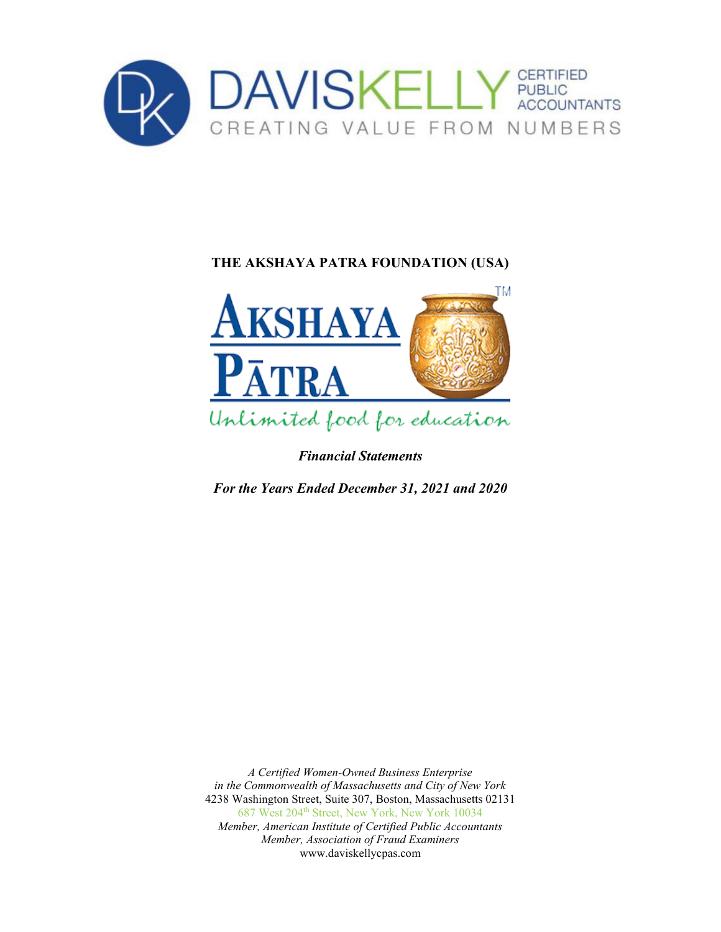



*Financial Statements*

*For the Years Ended December 31, 2021 and 2020*

*A Certified Women-Owned Business Enterprise in the Commonwealth of Massachusetts and City of New York* 4238 Washington Street, Suite 307, Boston, Massachusetts 02131 687 West 204<sup>th</sup> Street, New York, New York 10034 *Member, American Institute of Certified Public Accountants Member, Association of Fraud Examiners*  www.daviskellycpas.com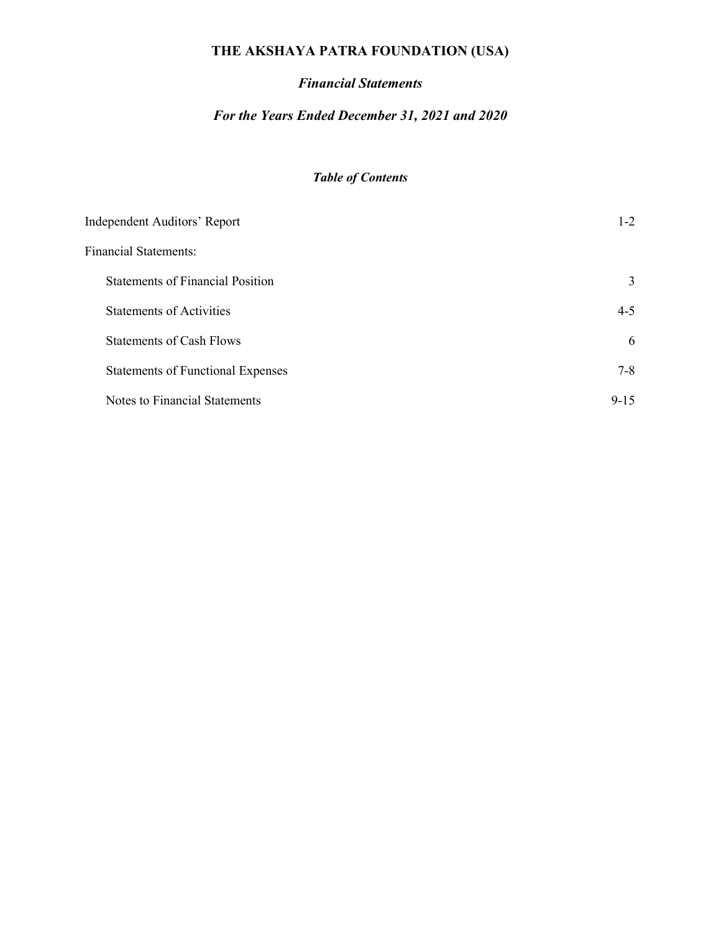### *Financial Statements*

### *For the Years Ended December 31, 2021 and 2020*

# *Table of Contents*

| <b>Independent Auditors' Report</b>      | $1 - 2$  |
|------------------------------------------|----------|
| <b>Financial Statements:</b>             |          |
| <b>Statements of Financial Position</b>  | 3        |
| <b>Statements of Activities</b>          | $4 - 5$  |
| <b>Statements of Cash Flows</b>          | 6        |
| <b>Statements of Functional Expenses</b> | $7 - 8$  |
| Notes to Financial Statements            | $9 - 15$ |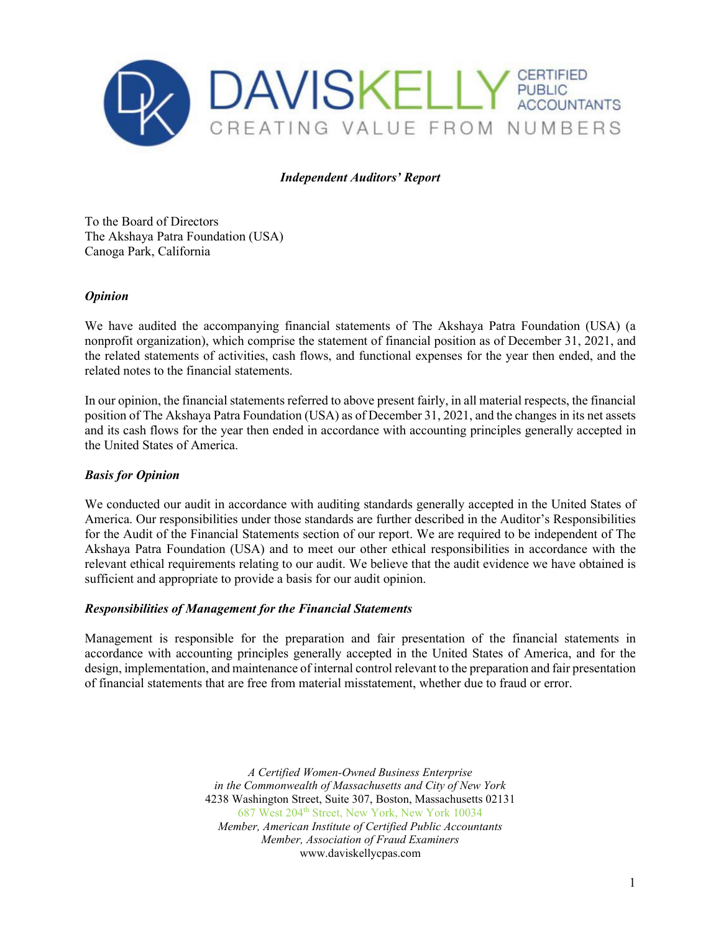

#### *Independent Auditors' Report*

To the Board of Directors The Akshaya Patra Foundation (USA) Canoga Park, California

#### *Opinion*

We have audited the accompanying financial statements of The Akshaya Patra Foundation (USA) (a nonprofit organization), which comprise the statement of financial position as of December 31, 2021, and the related statements of activities, cash flows, and functional expenses for the year then ended, and the related notes to the financial statements.

In our opinion, the financial statements referred to above present fairly, in all material respects, the financial position of The Akshaya Patra Foundation (USA) as of December 31, 2021, and the changes in its net assets and its cash flows for the year then ended in accordance with accounting principles generally accepted in the United States of America.

#### *Basis for Opinion*

We conducted our audit in accordance with auditing standards generally accepted in the United States of America. Our responsibilities under those standards are further described in the Auditor's Responsibilities for the Audit of the Financial Statements section of our report. We are required to be independent of The Akshaya Patra Foundation (USA) and to meet our other ethical responsibilities in accordance with the relevant ethical requirements relating to our audit. We believe that the audit evidence we have obtained is sufficient and appropriate to provide a basis for our audit opinion.

#### *Responsibilities of Management for the Financial Statements*

Management is responsible for the preparation and fair presentation of the financial statements in accordance with accounting principles generally accepted in the United States of America, and for the design, implementation, and maintenance of internal control relevant to the preparation and fair presentation of financial statements that are free from material misstatement, whether due to fraud or error.

> *A Certified Women-Owned Business Enterprise in the Commonwealth of Massachusetts and City of New York* 4238 Washington Street, Suite 307, Boston, Massachusetts 02131 687 West 204th Street, New York, New York 10034 *Member, American Institute of Certified Public Accountants Member, Association of Fraud Examiners*  www.daviskellycpas.com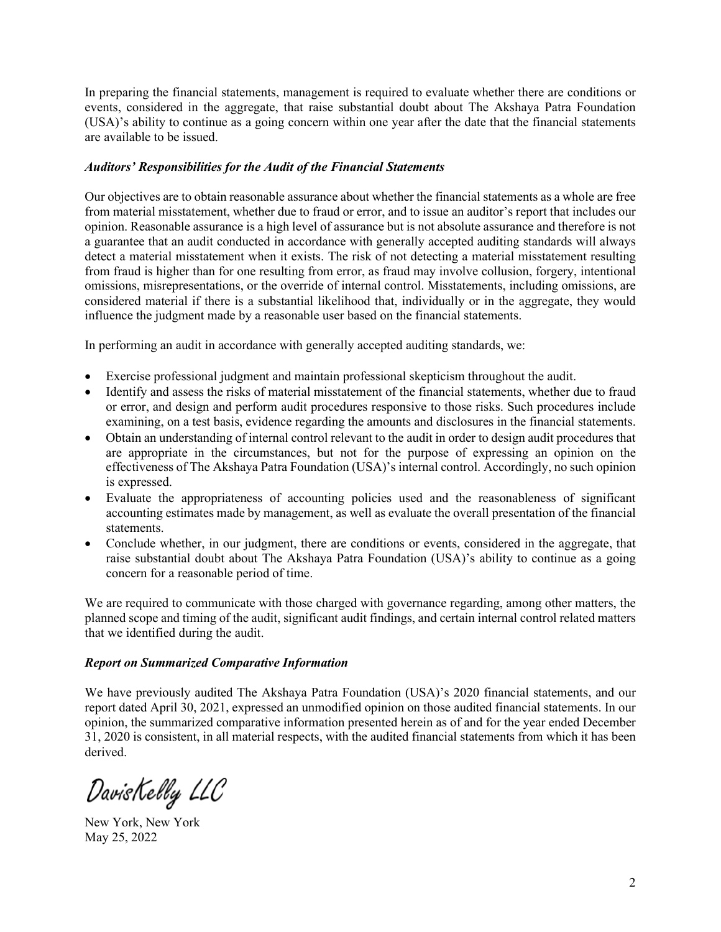In preparing the financial statements, management is required to evaluate whether there are conditions or events, considered in the aggregate, that raise substantial doubt about The Akshaya Patra Foundation (USA)'s ability to continue as a going concern within one year after the date that the financial statements are available to be issued.

#### *Auditors' Responsibilities for the Audit of the Financial Statements*

Our objectives are to obtain reasonable assurance about whether the financial statements as a whole are free from material misstatement, whether due to fraud or error, and to issue an auditor's report that includes our opinion. Reasonable assurance is a high level of assurance but is not absolute assurance and therefore is not a guarantee that an audit conducted in accordance with generally accepted auditing standards will always detect a material misstatement when it exists. The risk of not detecting a material misstatement resulting from fraud is higher than for one resulting from error, as fraud may involve collusion, forgery, intentional omissions, misrepresentations, or the override of internal control. Misstatements, including omissions, are considered material if there is a substantial likelihood that, individually or in the aggregate, they would influence the judgment made by a reasonable user based on the financial statements.

In performing an audit in accordance with generally accepted auditing standards, we:

- Exercise professional judgment and maintain professional skepticism throughout the audit.
- Identify and assess the risks of material misstatement of the financial statements, whether due to fraud or error, and design and perform audit procedures responsive to those risks. Such procedures include examining, on a test basis, evidence regarding the amounts and disclosures in the financial statements.
- Obtain an understanding of internal control relevant to the audit in order to design audit procedures that are appropriate in the circumstances, but not for the purpose of expressing an opinion on the effectiveness of The Akshaya Patra Foundation (USA)'s internal control. Accordingly, no such opinion is expressed.
- Evaluate the appropriateness of accounting policies used and the reasonableness of significant accounting estimates made by management, as well as evaluate the overall presentation of the financial statements.
- Conclude whether, in our judgment, there are conditions or events, considered in the aggregate, that raise substantial doubt about The Akshaya Patra Foundation (USA)'s ability to continue as a going concern for a reasonable period of time.

We are required to communicate with those charged with governance regarding, among other matters, the planned scope and timing of the audit, significant audit findings, and certain internal control related matters that we identified during the audit.

#### *Report on Summarized Comparative Information*

We have previously audited The Akshaya Patra Foundation (USA)'s 2020 financial statements, and our report dated April 30, 2021, expressed an unmodified opinion on those audited financial statements. In our opinion, the summarized comparative information presented herein as of and for the year ended December 31, 2020 is consistent, in all material respects, with the audited financial statements from which it has been derived.

DavisKelly LLC

New York, New York May 25, 2022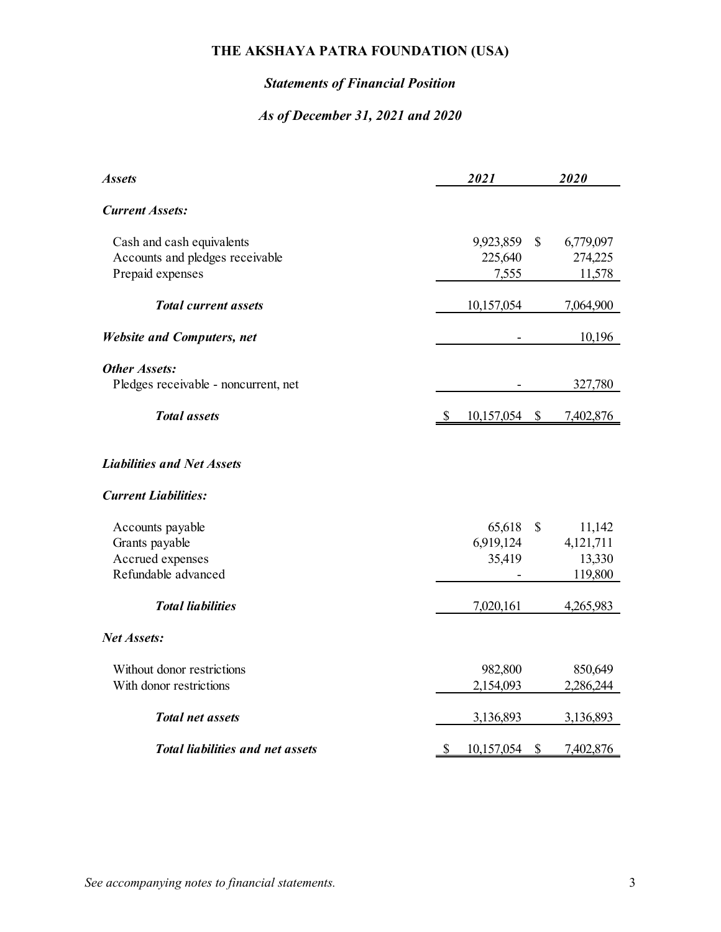# *Statements of Financial Position*

### *As of December 31, 2021 and 2020*

| <b>Assets</b>                                                    |              | 2021       |           | 2020      |
|------------------------------------------------------------------|--------------|------------|-----------|-----------|
| <b>Current Assets:</b>                                           |              |            |           |           |
| Cash and cash equivalents                                        |              | 9,923,859  | \$        | 6,779,097 |
| Accounts and pledges receivable                                  |              | 225,640    |           | 274,225   |
| Prepaid expenses                                                 |              | 7,555      |           | 11,578    |
| <b>Total current assets</b>                                      |              | 10,157,054 |           | 7,064,900 |
| <b>Website and Computers, net</b>                                |              |            |           | 10,196    |
| <b>Other Assets:</b>                                             |              |            |           |           |
| Pledges receivable - noncurrent, net                             |              |            |           | 327,780   |
| <b>Total</b> assets                                              | $\mathbb{S}$ | 10,157,054 | <u>\$</u> | 7,402,876 |
| <b>Liabilities and Net Assets</b><br><b>Current Liabilities:</b> |              |            |           |           |
| Accounts payable                                                 |              | 65,618     | \$        | 11,142    |
| Grants payable                                                   |              | 6,919,124  |           | 4,121,711 |
| Accrued expenses                                                 |              | 35,419     |           | 13,330    |
| Refundable advanced                                              |              |            |           | 119,800   |
| <b>Total liabilities</b>                                         |              | 7,020,161  |           | 4,265,983 |
| <b>Net Assets:</b>                                               |              |            |           |           |
| Without donor restrictions                                       |              | 982,800    |           | 850,649   |
| With donor restrictions                                          |              | 2,154,093  |           | 2,286,244 |
| <b>Total net assets</b>                                          |              | 3,136,893  |           | 3,136,893 |
| <b>Total liabilities and net assets</b>                          | \$           | 10,157,054 | S         | 7,402,876 |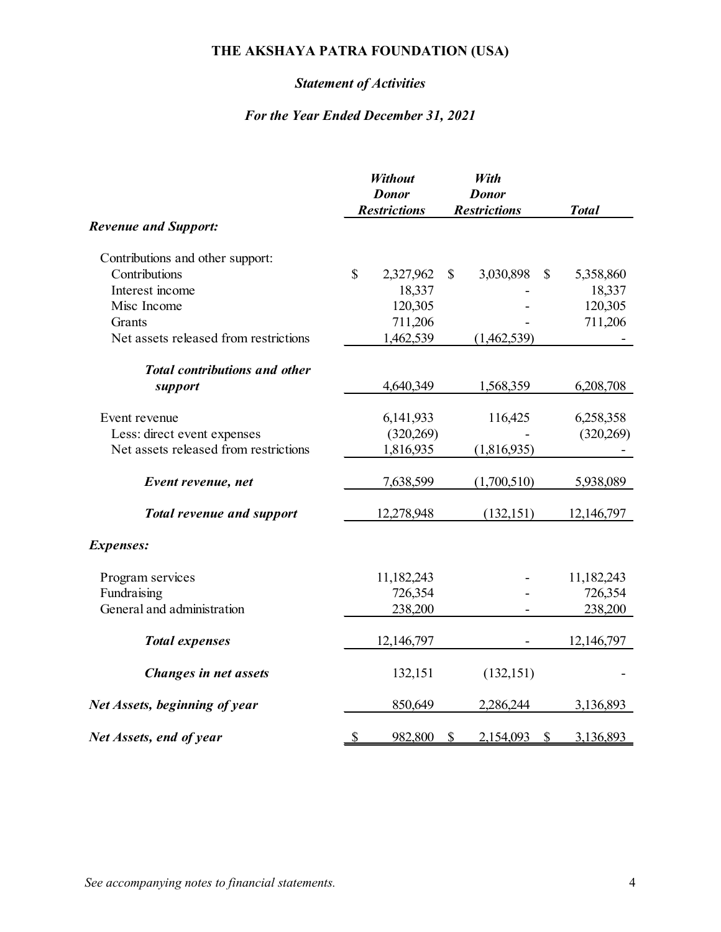# *Statement of Activities*

|                                       |               | <b>Without</b><br><b>Donor</b> | With<br><b>Donor</b>  |              |  |
|---------------------------------------|---------------|--------------------------------|-----------------------|--------------|--|
|                                       |               | <b>Restrictions</b>            | <b>Restrictions</b>   | <b>Total</b> |  |
| <b>Revenue and Support:</b>           |               |                                |                       |              |  |
| Contributions and other support:      |               |                                |                       |              |  |
| Contributions                         | \$            | 2,327,962                      | \$<br>3,030,898<br>\$ | 5,358,860    |  |
| Interest income                       |               | 18,337                         |                       | 18,337       |  |
| Misc Income                           |               | 120,305                        |                       | 120,305      |  |
| Grants                                |               | 711,206                        |                       | 711,206      |  |
| Net assets released from restrictions |               | 1,462,539                      | (1,462,539)           |              |  |
| <b>Total contributions and other</b>  |               |                                |                       |              |  |
| support                               |               | 4,640,349                      | 1,568,359             | 6,208,708    |  |
| Event revenue                         |               | 6,141,933                      | 116,425               | 6,258,358    |  |
| Less: direct event expenses           |               | (320, 269)                     |                       | (320, 269)   |  |
| Net assets released from restrictions |               | 1,816,935                      | (1,816,935)           |              |  |
| Event revenue, net                    |               | 7,638,599                      | (1,700,510)           | 5,938,089    |  |
| <b>Total revenue and support</b>      |               | 12,278,948                     | (132, 151)            | 12,146,797   |  |
| <b>Expenses:</b>                      |               |                                |                       |              |  |
| Program services                      |               | 11,182,243                     |                       | 11,182,243   |  |
| Fundraising                           |               | 726,354                        |                       | 726,354      |  |
| General and administration            |               | 238,200                        |                       | 238,200      |  |
| <b>Total expenses</b>                 |               | 12,146,797                     |                       | 12,146,797   |  |
| Changes in net assets                 |               | 132,151                        | (132, 151)            |              |  |
| Net Assets, beginning of year         |               | 850,649                        | 2,286,244             | 3,136,893    |  |
| Net Assets, end of year               | $\mathcal{S}$ | 982,800                        | \$<br>2,154,093<br>\$ | 3,136,893    |  |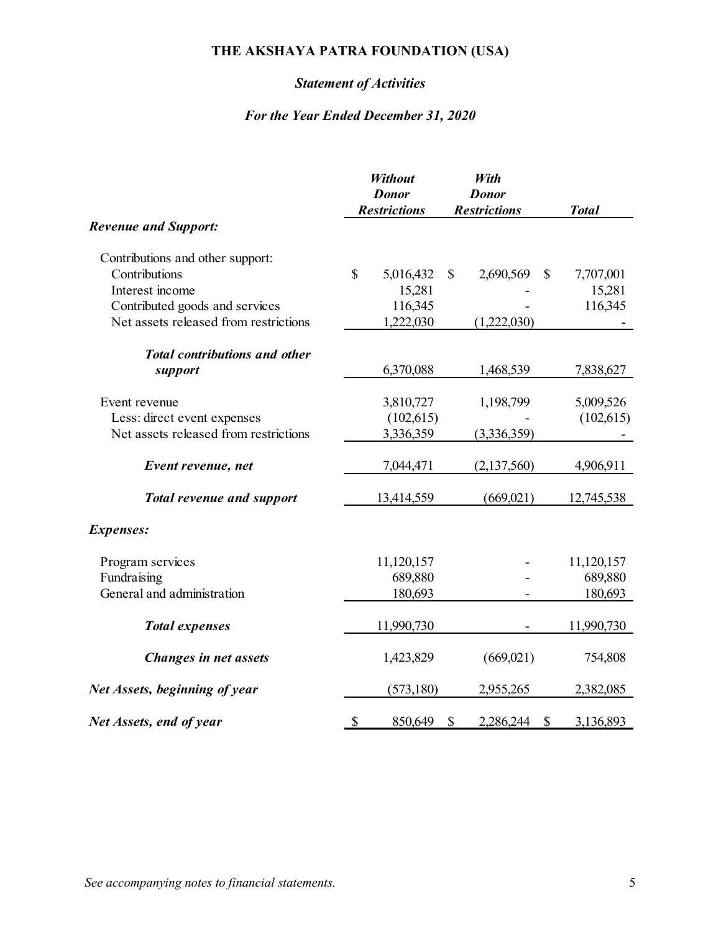# *Statement of Activities*

| <b>Revenue and Support:</b>           |              | Without<br><b>Donor</b><br><b>Restrictions</b> |               | With<br><b>Donor</b><br><b>Restrictions</b> | <b>Total</b> |  |
|---------------------------------------|--------------|------------------------------------------------|---------------|---------------------------------------------|--------------|--|
|                                       |              |                                                |               |                                             |              |  |
| Contributions and other support:      |              |                                                |               |                                             |              |  |
| Contributions                         | $\mathbb{S}$ | 5,016,432                                      | \$            | 2,690,569<br>\$                             | 7,707,001    |  |
| Interest income                       |              | 15,281                                         |               |                                             | 15,281       |  |
| Contributed goods and services        |              | 116,345                                        |               |                                             | 116,345      |  |
| Net assets released from restrictions |              | 1,222,030                                      |               | (1,222,030)                                 |              |  |
| <b>Total contributions and other</b>  |              |                                                |               |                                             |              |  |
| support                               |              | 6,370,088                                      |               | 1,468,539                                   | 7,838,627    |  |
| Event revenue                         |              | 3,810,727                                      |               | 1,198,799                                   | 5,009,526    |  |
| Less: direct event expenses           |              | (102, 615)                                     |               |                                             | (102, 615)   |  |
| Net assets released from restrictions |              | 3,336,359                                      |               | (3,336,359)                                 |              |  |
| Event revenue, net                    |              | 7,044,471                                      |               | (2,137,560)                                 | 4,906,911    |  |
| <b>Total revenue and support</b>      |              | 13,414,559                                     |               | (669,021)                                   | 12,745,538   |  |
| Expenses:                             |              |                                                |               |                                             |              |  |
| Program services                      |              | 11,120,157                                     |               |                                             | 11,120,157   |  |
| Fundraising                           |              | 689,880                                        |               |                                             | 689,880      |  |
| General and administration            |              | 180,693                                        |               |                                             | 180,693      |  |
| <b>Total expenses</b>                 |              | 11,990,730                                     |               |                                             | 11,990,730   |  |
| Changes in net assets                 |              | 1,423,829                                      |               | (669,021)                                   | 754,808      |  |
| Net Assets, beginning of year         |              | (573, 180)                                     |               | 2,955,265                                   | 2,382,085    |  |
| Net Assets, end of year               | \$           | 850,649                                        | $\mathcal{S}$ | 2,286,244<br>$\mathcal{S}$                  | 3,136,893    |  |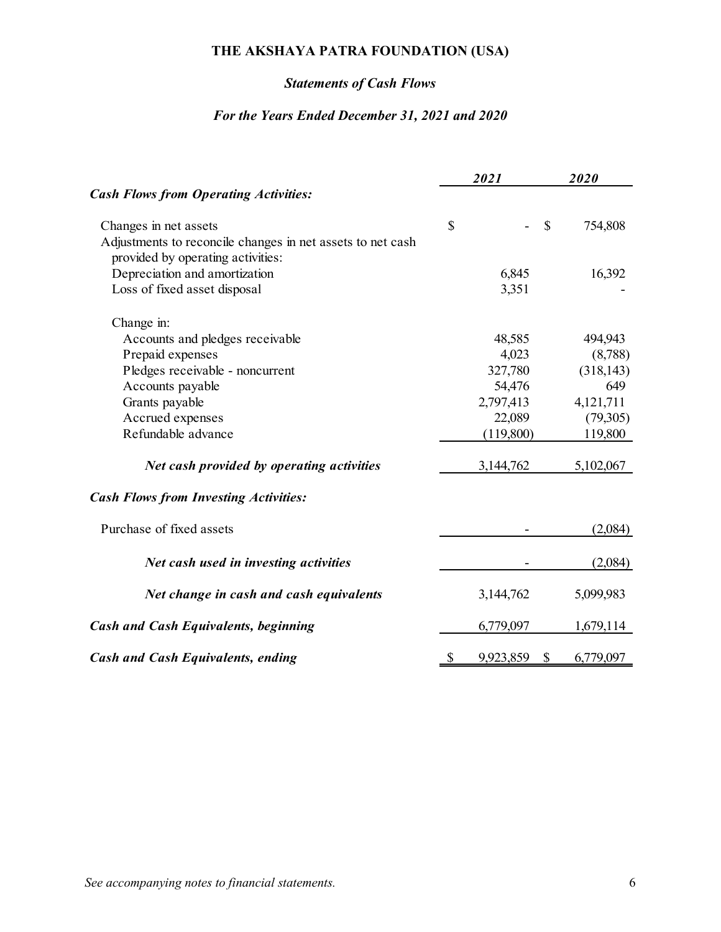# *Statements of Cash Flows*

### *For the Years Ended December 31, 2021 and 2020*

|                                                            |               | 2021            | 2020          |
|------------------------------------------------------------|---------------|-----------------|---------------|
| <b>Cash Flows from Operating Activities:</b>               |               |                 |               |
| Changes in net assets                                      | $\mathcal{S}$ |                 | \$<br>754,808 |
| Adjustments to reconcile changes in net assets to net cash |               |                 |               |
| provided by operating activities:                          |               |                 |               |
| Depreciation and amortization                              |               | 6,845           | 16,392        |
| Loss of fixed asset disposal                               |               | 3,351           |               |
| Change in:                                                 |               |                 |               |
| Accounts and pledges receivable                            |               | 48,585          | 494,943       |
| Prepaid expenses                                           |               | 4,023           | (8,788)       |
| Pledges receivable - noncurrent                            |               | 327,780         | (318, 143)    |
| Accounts payable                                           |               | 54,476          | 649           |
| Grants payable                                             |               | 2,797,413       | 4,121,711     |
| Accrued expenses                                           |               | 22,089          | (79,305)      |
| Refundable advance                                         |               | (119,800)       | 119,800       |
| Net cash provided by operating activities                  |               | 3,144,762       | 5,102,067     |
| <b>Cash Flows from Investing Activities:</b>               |               |                 |               |
| Purchase of fixed assets                                   |               |                 | (2,084)       |
| Net cash used in investing activities                      |               |                 | (2,084)       |
| Net change in cash and cash equivalents                    |               | 3,144,762       | 5,099,983     |
| <b>Cash and Cash Equivalents, beginning</b>                |               | 6,779,097       | 1,679,114     |
| <b>Cash and Cash Equivalents, ending</b>                   | \$            | 9,923,859<br>\$ | 6,779,097     |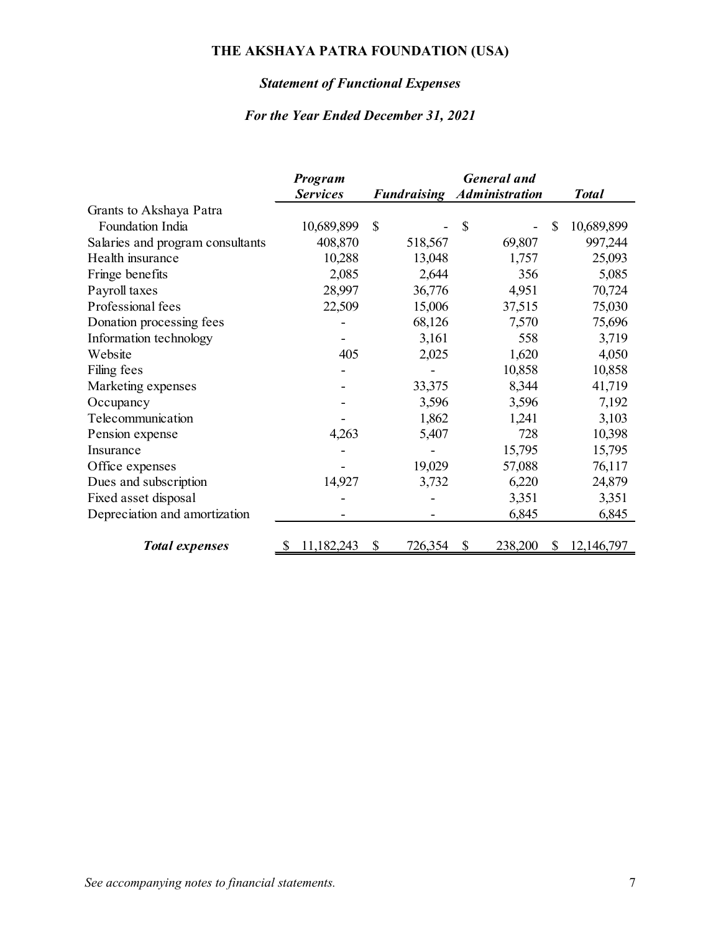# *Statement of Functional Expenses*

|                                  | Program         | <b>General</b> and |                       |                            |  |
|----------------------------------|-----------------|--------------------|-----------------------|----------------------------|--|
|                                  | <b>Services</b> | <b>Fundraising</b> | <b>Administration</b> | <b>Total</b>               |  |
| Grants to Akshaya Patra          |                 |                    |                       |                            |  |
| Foundation India                 | 10,689,899      | $\mathcal{S}$      | \$                    | 10,689,899<br>\$           |  |
| Salaries and program consultants | 408,870         | 518,567            | 69,807                | 997,244                    |  |
| Health insurance                 | 10,288          | 13,048             | 1,757                 | 25,093                     |  |
| Fringe benefits                  | 2,085           | 2,644              | 356                   | 5,085                      |  |
| Payroll taxes                    | 28,997          | 36,776             | 4,951                 | 70,724                     |  |
| Professional fees                | 22,509          | 15,006             | 37,515                | 75,030                     |  |
| Donation processing fees         |                 | 68,126             | 7,570                 | 75,696                     |  |
| Information technology           |                 | 3,161              | 558                   | 3,719                      |  |
| Website                          | 405             | 2,025              | 1,620                 | 4,050                      |  |
| Filing fees                      |                 |                    | 10,858                | 10,858                     |  |
| Marketing expenses               |                 | 33,375             | 8,344                 | 41,719                     |  |
| Occupancy                        |                 | 3,596              | 3,596                 | 7,192                      |  |
| Telecommunication                |                 | 1,862              | 1,241                 | 3,103                      |  |
| Pension expense                  | 4,263           | 5,407              | 728                   | 10,398                     |  |
| Insurance                        |                 |                    | 15,795                | 15,795                     |  |
| Office expenses                  |                 | 19,029             | 57,088                | 76,117                     |  |
| Dues and subscription            | 14,927          | 3,732              | 6,220                 | 24,879                     |  |
| Fixed asset disposal             |                 |                    | 3,351                 | 3,351                      |  |
| Depreciation and amortization    |                 |                    | 6,845                 | 6,845                      |  |
| <b>Total expenses</b>            | 11,182,243      | 726,354<br>S       | 238,200<br>\$         | 12,146,797<br><sup>S</sup> |  |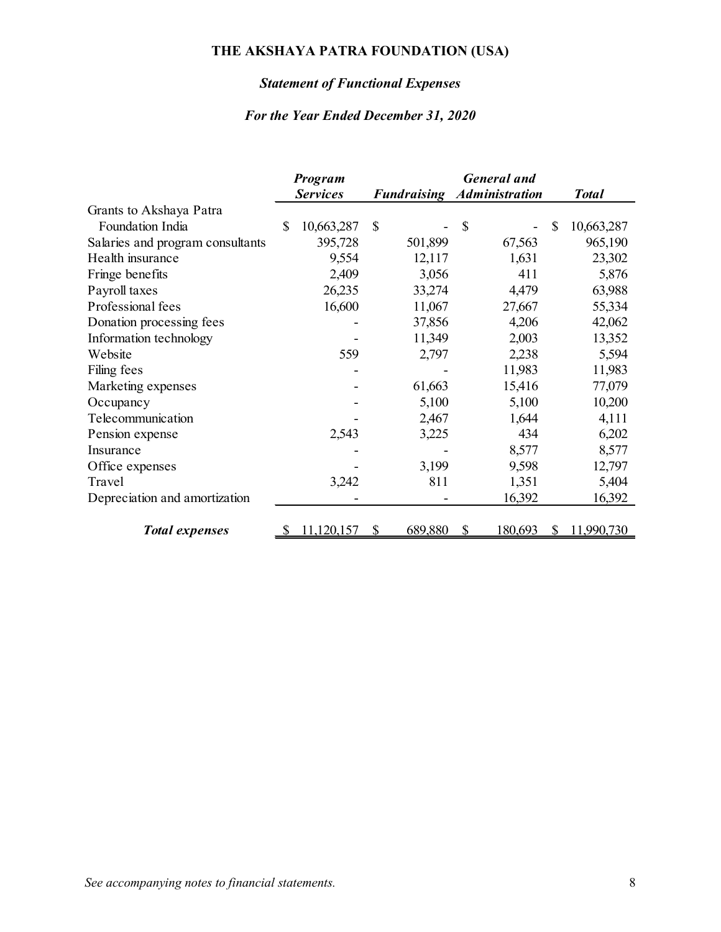# *Statement of Functional Expenses*

|                                  | Program |                 |              | <b>General</b> and |                       |   |              |
|----------------------------------|---------|-----------------|--------------|--------------------|-----------------------|---|--------------|
|                                  |         | <b>Services</b> |              | <b>Fundraising</b> | <b>Administration</b> |   | <b>Total</b> |
| Grants to Akshaya Patra          |         |                 |              |                    |                       |   |              |
| Foundation India                 | \$      | 10,663,287      | $\mathbb{S}$ |                    | \$                    | S | 10,663,287   |
| Salaries and program consultants |         | 395,728         |              | 501,899            | 67,563                |   | 965,190      |
| Health insurance                 |         | 9,554           |              | 12,117             | 1,631                 |   | 23,302       |
| Fringe benefits                  |         | 2,409           |              | 3,056              | 411                   |   | 5,876        |
| Payroll taxes                    |         | 26,235          |              | 33,274             | 4,479                 |   | 63,988       |
| Professional fees                |         | 16,600          |              | 11,067             | 27,667                |   | 55,334       |
| Donation processing fees         |         |                 |              | 37,856             | 4,206                 |   | 42,062       |
| Information technology           |         |                 |              | 11,349             | 2,003                 |   | 13,352       |
| Website                          |         | 559             |              | 2,797              | 2,238                 |   | 5,594        |
| Filing fees                      |         |                 |              |                    | 11,983                |   | 11,983       |
| Marketing expenses               |         |                 |              | 61,663             | 15,416                |   | 77,079       |
| Occupancy                        |         |                 |              | 5,100              | 5,100                 |   | 10,200       |
| Telecommunication                |         |                 |              | 2,467              | 1,644                 |   | 4,111        |
| Pension expense                  |         | 2,543           |              | 3,225              | 434                   |   | 6,202        |
| Insurance                        |         |                 |              |                    | 8,577                 |   | 8,577        |
| Office expenses                  |         |                 |              | 3,199              | 9,598                 |   | 12,797       |
| Travel                           |         | 3,242           |              | 811                | 1,351                 |   | 5,404        |
| Depreciation and amortization    |         |                 |              |                    | 16,392                |   | 16,392       |
|                                  |         |                 |              |                    |                       |   |              |
| <b>Total expenses</b>            | S       | 11,120,157      | \$           | 689,880            | \$<br>180,693         | S | 11,990,730   |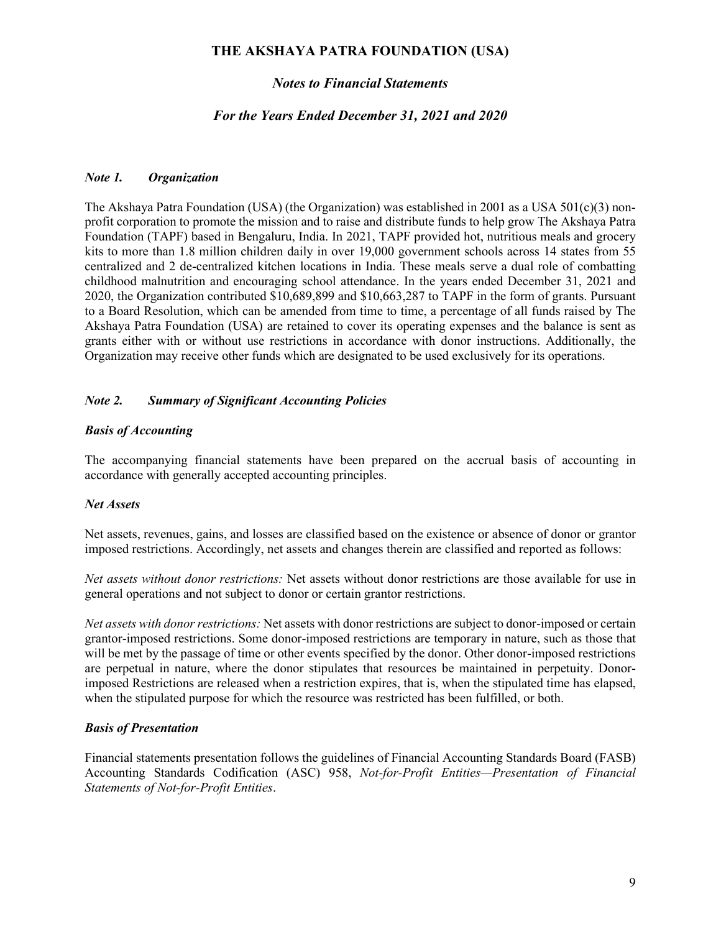#### *Notes to Financial Statements*

#### *For the Years Ended December 31, 2021 and 2020*

#### *Note 1. Organization*

The Akshaya Patra Foundation (USA) (the Organization) was established in 2001 as a USA 501(c)(3) nonprofit corporation to promote the mission and to raise and distribute funds to help grow The Akshaya Patra Foundation (TAPF) based in Bengaluru, India. In 2021, TAPF provided hot, nutritious meals and grocery kits to more than 1.8 million children daily in over 19,000 government schools across 14 states from 55 centralized and 2 de-centralized kitchen locations in India. These meals serve a dual role of combatting childhood malnutrition and encouraging school attendance. In the years ended December 31, 2021 and 2020, the Organization contributed \$10,689,899 and \$10,663,287 to TAPF in the form of grants. Pursuant to a Board Resolution, which can be amended from time to time, a percentage of all funds raised by The Akshaya Patra Foundation (USA) are retained to cover its operating expenses and the balance is sent as grants either with or without use restrictions in accordance with donor instructions. Additionally, the Organization may receive other funds which are designated to be used exclusively for its operations.

#### *Note 2. Summary of Significant Accounting Policies*

#### *Basis of Accounting*

The accompanying financial statements have been prepared on the accrual basis of accounting in accordance with generally accepted accounting principles.

#### *Net Assets*

Net assets, revenues, gains, and losses are classified based on the existence or absence of donor or grantor imposed restrictions. Accordingly, net assets and changes therein are classified and reported as follows:

*Net assets without donor restrictions:* Net assets without donor restrictions are those available for use in general operations and not subject to donor or certain grantor restrictions.

*Net assets with donor restrictions:* Net assets with donor restrictions are subject to donor-imposed or certain grantor-imposed restrictions. Some donor-imposed restrictions are temporary in nature, such as those that will be met by the passage of time or other events specified by the donor. Other donor-imposed restrictions are perpetual in nature, where the donor stipulates that resources be maintained in perpetuity. Donorimposed Restrictions are released when a restriction expires, that is, when the stipulated time has elapsed, when the stipulated purpose for which the resource was restricted has been fulfilled, or both.

#### *Basis of Presentation*

Financial statements presentation follows the guidelines of Financial Accounting Standards Board (FASB) Accounting Standards Codification (ASC) 958, *Not-for-Profit Entities—Presentation of Financial Statements of Not-for-Profit Entities*.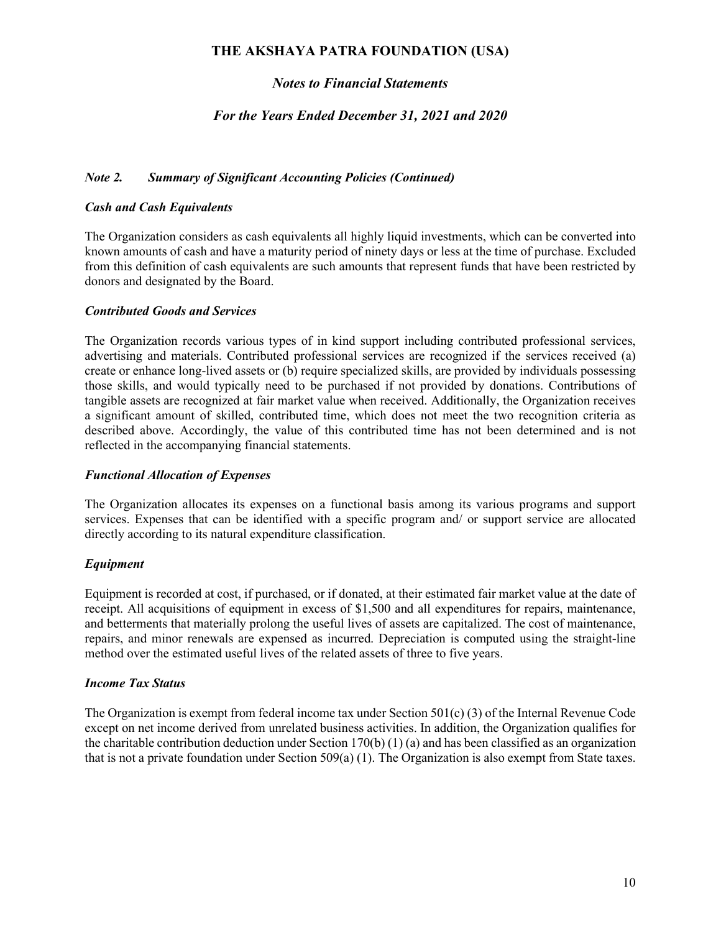### *Notes to Financial Statements*

#### *For the Years Ended December 31, 2021 and 2020*

#### *Note 2. Summary of Significant Accounting Policies (Continued)*

#### *Cash and Cash Equivalents*

The Organization considers as cash equivalents all highly liquid investments, which can be converted into known amounts of cash and have a maturity period of ninety days or less at the time of purchase. Excluded from this definition of cash equivalents are such amounts that represent funds that have been restricted by donors and designated by the Board.

#### *Contributed Goods and Services*

The Organization records various types of in kind support including contributed professional services, advertising and materials. Contributed professional services are recognized if the services received (a) create or enhance long-lived assets or (b) require specialized skills, are provided by individuals possessing those skills, and would typically need to be purchased if not provided by donations. Contributions of tangible assets are recognized at fair market value when received. Additionally, the Organization receives a significant amount of skilled, contributed time, which does not meet the two recognition criteria as described above. Accordingly, the value of this contributed time has not been determined and is not reflected in the accompanying financial statements.

#### *Functional Allocation of Expenses*

The Organization allocates its expenses on a functional basis among its various programs and support services. Expenses that can be identified with a specific program and/ or support service are allocated directly according to its natural expenditure classification.

#### *Equipment*

Equipment is recorded at cost, if purchased, or if donated, at their estimated fair market value at the date of receipt. All acquisitions of equipment in excess of \$1,500 and all expenditures for repairs, maintenance, and betterments that materially prolong the useful lives of assets are capitalized. The cost of maintenance, repairs, and minor renewals are expensed as incurred. Depreciation is computed using the straight-line method over the estimated useful lives of the related assets of three to five years.

#### *Income Tax Status*

The Organization is exempt from federal income tax under Section 501(c) (3) of the Internal Revenue Code except on net income derived from unrelated business activities. In addition, the Organization qualifies for the charitable contribution deduction under Section 170(b) (1) (a) and has been classified as an organization that is not a private foundation under Section 509(a) (1). The Organization is also exempt from State taxes.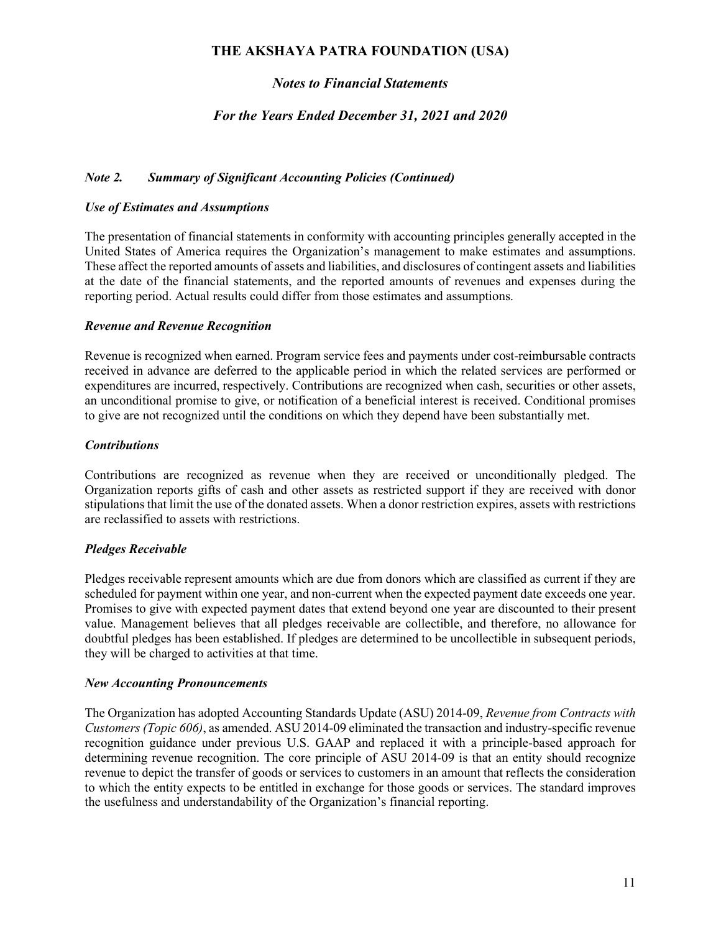### *Notes to Financial Statements*

#### *For the Years Ended December 31, 2021 and 2020*

#### *Note 2. Summary of Significant Accounting Policies (Continued)*

#### *Use of Estimates and Assumptions*

The presentation of financial statements in conformity with accounting principles generally accepted in the United States of America requires the Organization's management to make estimates and assumptions. These affect the reported amounts of assets and liabilities, and disclosures of contingent assets and liabilities at the date of the financial statements, and the reported amounts of revenues and expenses during the reporting period. Actual results could differ from those estimates and assumptions.

#### *Revenue and Revenue Recognition*

Revenue is recognized when earned. Program service fees and payments under cost-reimbursable contracts received in advance are deferred to the applicable period in which the related services are performed or expenditures are incurred, respectively. Contributions are recognized when cash, securities or other assets, an unconditional promise to give, or notification of a beneficial interest is received. Conditional promises to give are not recognized until the conditions on which they depend have been substantially met.

#### *Contributions*

Contributions are recognized as revenue when they are received or unconditionally pledged. The Organization reports gifts of cash and other assets as restricted support if they are received with donor stipulations that limit the use of the donated assets. When a donor restriction expires, assets with restrictions are reclassified to assets with restrictions.

#### *Pledges Receivable*

Pledges receivable represent amounts which are due from donors which are classified as current if they are scheduled for payment within one year, and non-current when the expected payment date exceeds one year. Promises to give with expected payment dates that extend beyond one year are discounted to their present value. Management believes that all pledges receivable are collectible, and therefore, no allowance for doubtful pledges has been established. If pledges are determined to be uncollectible in subsequent periods, they will be charged to activities at that time.

#### *New Accounting Pronouncements*

The Organization has adopted Accounting Standards Update (ASU) 2014-09, *Revenue from Contracts with Customers (Topic 606)*, as amended. ASU 2014-09 eliminated the transaction and industry-specific revenue recognition guidance under previous U.S. GAAP and replaced it with a principle-based approach for determining revenue recognition. The core principle of ASU 2014-09 is that an entity should recognize revenue to depict the transfer of goods or services to customers in an amount that reflects the consideration to which the entity expects to be entitled in exchange for those goods or services. The standard improves the usefulness and understandability of the Organization's financial reporting.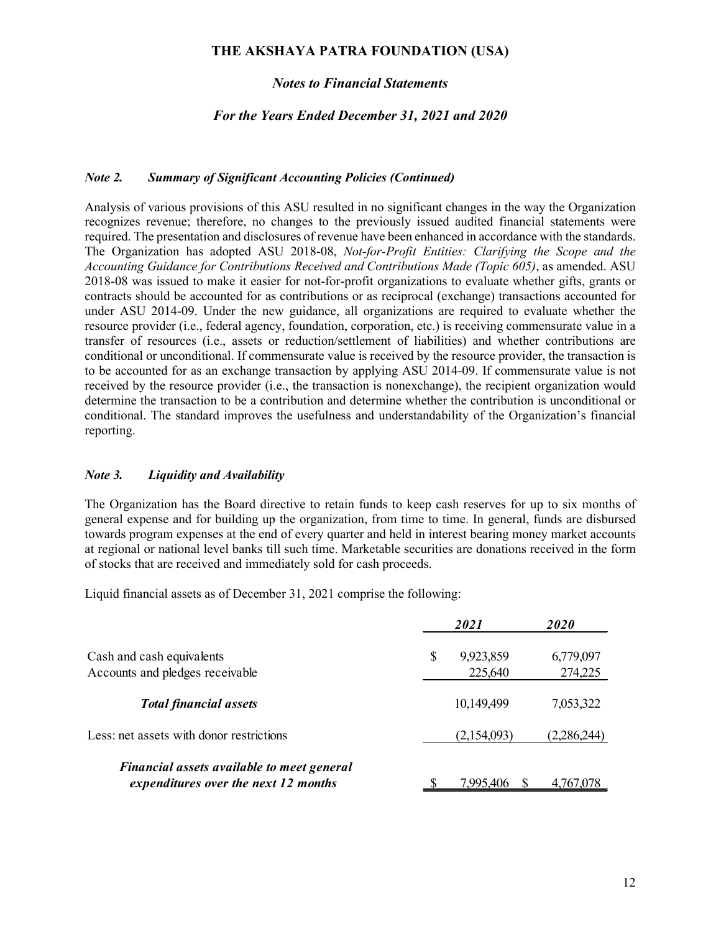#### *Notes to Financial Statements*

#### *For the Years Ended December 31, 2021 and 2020*

#### *Note 2. Summary of Significant Accounting Policies (Continued)*

Analysis of various provisions of this ASU resulted in no significant changes in the way the Organization recognizes revenue; therefore, no changes to the previously issued audited financial statements were required. The presentation and disclosures of revenue have been enhanced in accordance with the standards. The Organization has adopted ASU 2018-08, *Not-for-Profit Entities: Clarifying the Scope and the Accounting Guidance for Contributions Received and Contributions Made (Topic 605)*, as amended. ASU 2018-08 was issued to make it easier for not-for-profit organizations to evaluate whether gifts, grants or contracts should be accounted for as contributions or as reciprocal (exchange) transactions accounted for under ASU 2014-09. Under the new guidance, all organizations are required to evaluate whether the resource provider (i.e., federal agency, foundation, corporation, etc.) is receiving commensurate value in a transfer of resources (i.e., assets or reduction/settlement of liabilities) and whether contributions are conditional or unconditional. If commensurate value is received by the resource provider, the transaction is to be accounted for as an exchange transaction by applying ASU 2014-09. If commensurate value is not received by the resource provider (i.e., the transaction is nonexchange), the recipient organization would determine the transaction to be a contribution and determine whether the contribution is unconditional or conditional. The standard improves the usefulness and understandability of the Organization's financial reporting.

#### *Note 3. Liquidity and Availability*

The Organization has the Board directive to retain funds to keep cash reserves for up to six months of general expense and for building up the organization, from time to time. In general, funds are disbursed towards program expenses at the end of every quarter and held in interest bearing money market accounts at regional or national level banks till such time. Marketable securities are donations received in the form of stocks that are received and immediately sold for cash proceeds.

Liquid financial assets as of December 31, 2021 comprise the following:

|                                                                                    | 2021            | <i><b>2020</b></i> |
|------------------------------------------------------------------------------------|-----------------|--------------------|
| Cash and cash equivalents                                                          | \$<br>9,923,859 | 6,779,097          |
| Accounts and pledges receivable                                                    | 225,640         | 274,225            |
| <b>Total financial assets</b>                                                      | 10,149,499      | 7,053,322          |
| Less: net assets with donor restrictions                                           | (2,154,093)     | (2,286,244)        |
| Financial assets available to meet general<br>expenditures over the next 12 months | 7.995.406       | 4,767,078          |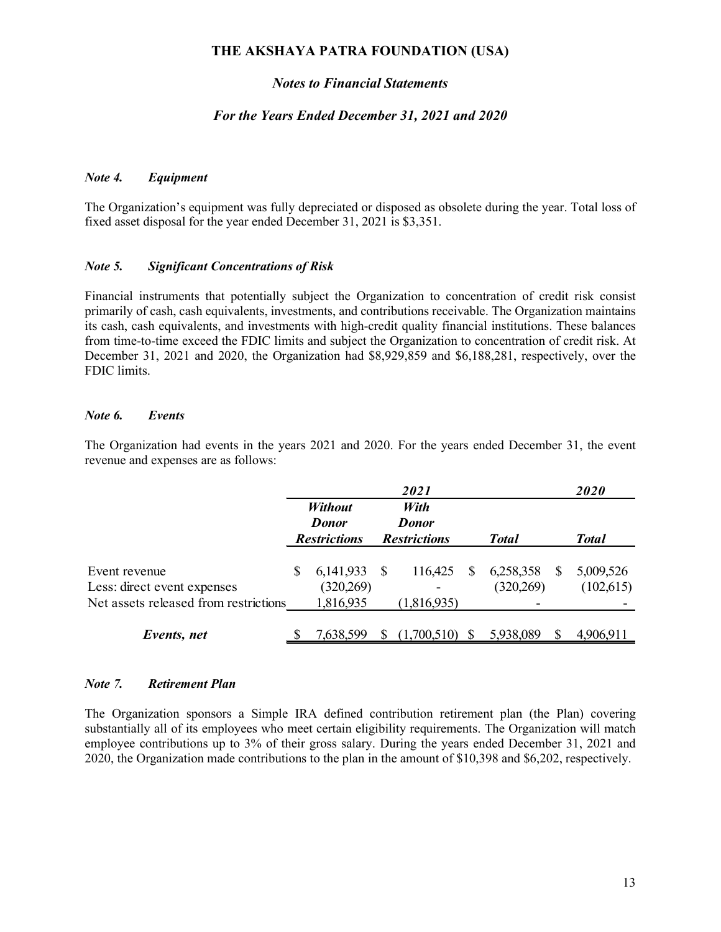#### *Notes to Financial Statements*

#### *For the Years Ended December 31, 2021 and 2020*

#### *Note 4. Equipment*

The Organization's equipment was fully depreciated or disposed as obsolete during the year. Total loss of fixed asset disposal for the year ended December 31, 2021 is \$3,351.

#### *Note 5. Significant Concentrations of Risk*

Financial instruments that potentially subject the Organization to concentration of credit risk consist primarily of cash, cash equivalents, investments, and contributions receivable. The Organization maintains its cash, cash equivalents, and investments with high-credit quality financial institutions. These balances from time-to-time exceed the FDIC limits and subject the Organization to concentration of credit risk. At December 31, 2021 and 2020, the Organization had \$8,929,859 and \$6,188,281, respectively, over the FDIC limits.

#### *Note 6. Events*

The Organization had events in the years 2021 and 2020. For the years ended December 31, the event revenue and expenses are as follows:

|                                       |   |                     |    | 2021                |              |    | 2020         |
|---------------------------------------|---|---------------------|----|---------------------|--------------|----|--------------|
|                                       |   | <b>Without</b>      |    | With                |              |    |              |
|                                       |   | <b>Donor</b>        |    | <b>Donor</b>        |              |    |              |
|                                       |   | <b>Restrictions</b> |    | <b>Restrictions</b> | <b>Total</b> |    | <b>Total</b> |
| Event revenue                         | S | 6, 141, 933         | -S | 116,425             | 6,258,358    | S. | 5,009,526    |
| Less: direct event expenses           |   | (320, 269)          |    |                     | (320, 269)   |    | (102, 615)   |
| Net assets released from restrictions |   | 1,816,935           |    | (1,816,935)         |              |    |              |
| Events, net                           |   | 7,638,599           |    | .700.510)           | 5,938,089    |    | 4,906,911    |

#### *Note 7. Retirement Plan*

The Organization sponsors a Simple IRA defined contribution retirement plan (the Plan) covering substantially all of its employees who meet certain eligibility requirements. The Organization will match employee contributions up to 3% of their gross salary. During the years ended December 31, 2021 and 2020, the Organization made contributions to the plan in the amount of \$10,398 and \$6,202, respectively.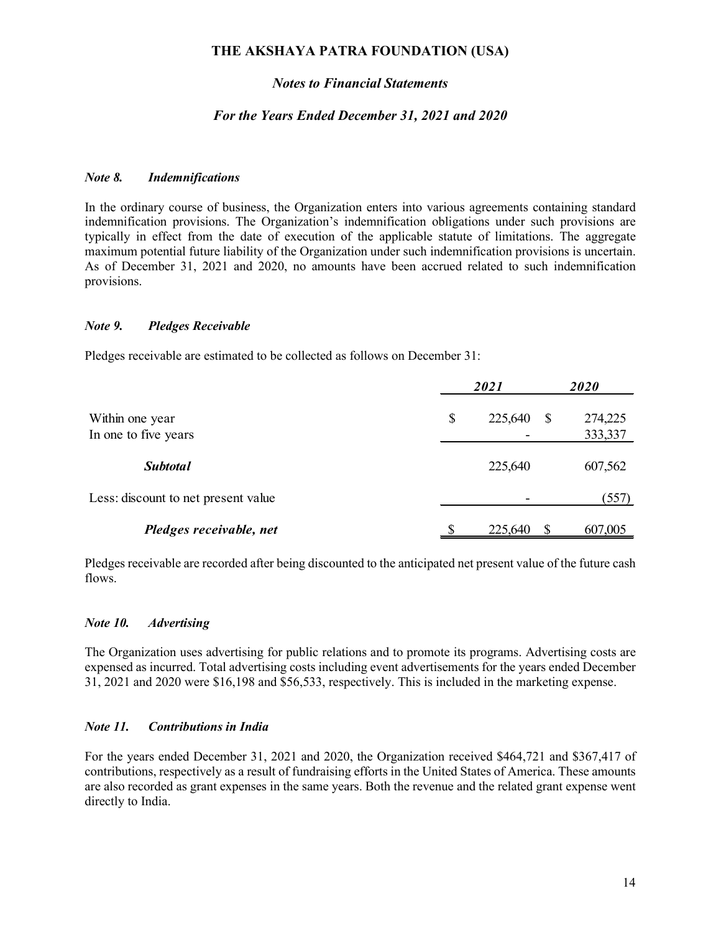#### *Notes to Financial Statements*

#### *For the Years Ended December 31, 2021 and 2020*

#### *Note 8. Indemnifications*

In the ordinary course of business, the Organization enters into various agreements containing standard indemnification provisions. The Organization's indemnification obligations under such provisions are typically in effect from the date of execution of the applicable statute of limitations. The aggregate maximum potential future liability of the Organization under such indemnification provisions is uncertain. As of December 31, 2021 and 2020, no amounts have been accrued related to such indemnification provisions.

#### *Note 9. Pledges Receivable*

Pledges receivable are estimated to be collected as follows on December 31:

|                                     |    | 2020    |              |         |  |
|-------------------------------------|----|---------|--------------|---------|--|
| Within one year                     | \$ | 225,640 | <sup>S</sup> | 274,225 |  |
| In one to five years                |    |         |              | 333,337 |  |
| <b>Subtotal</b>                     |    | 225,640 |              | 607,562 |  |
| Less: discount to net present value |    |         |              | (557)   |  |
| Pledges receivable, net             |    | 225,640 |              | 607,005 |  |

Pledges receivable are recorded after being discounted to the anticipated net present value of the future cash flows.

#### *Note 10. Advertising*

The Organization uses advertising for public relations and to promote its programs. Advertising costs are expensed as incurred. Total advertising costs including event advertisements for the years ended December 31, 2021 and 2020 were \$16,198 and \$56,533, respectively. This is included in the marketing expense.

#### *Note 11. Contributions in India*

For the years ended December 31, 2021 and 2020, the Organization received \$464,721 and \$367,417 of contributions, respectively as a result of fundraising efforts in the United States of America. These amounts are also recorded as grant expenses in the same years. Both the revenue and the related grant expense went directly to India.